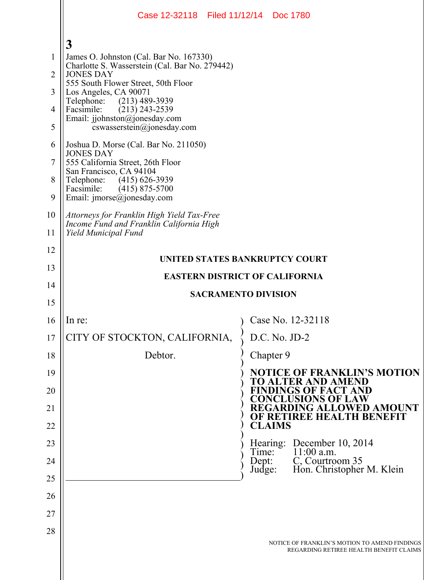|                | Case 12-32118 Filed 11/12/14 Doc 1780                                                                          |                                                                 |  |  |  |  |  |  |  |
|----------------|----------------------------------------------------------------------------------------------------------------|-----------------------------------------------------------------|--|--|--|--|--|--|--|
|                |                                                                                                                |                                                                 |  |  |  |  |  |  |  |
| 1              | $\mathbf{3}$<br>James O. Johnston (Cal. Bar No. 167330)                                                        |                                                                 |  |  |  |  |  |  |  |
| $\overline{2}$ | Charlotte S. Wasserstein (Cal. Bar No. 279442)<br><b>JONES DAY</b>                                             |                                                                 |  |  |  |  |  |  |  |
| 3              | 555 South Flower Street, 50th Floor<br>Los Angeles, CA 90071                                                   |                                                                 |  |  |  |  |  |  |  |
| 4              | $(213)$ 489-3939<br>Telephone:<br>$(213)$ 243-2539<br>Facsimile:                                               |                                                                 |  |  |  |  |  |  |  |
| 5              | Email: jjohnston@jonesday.com<br>cswasserstein@jonesday.com                                                    |                                                                 |  |  |  |  |  |  |  |
| 6              | Joshua D. Morse (Cal. Bar No. 211050)<br><b>JONES DAY</b>                                                      |                                                                 |  |  |  |  |  |  |  |
| 7              | 555 California Street, 26th Floor                                                                              |                                                                 |  |  |  |  |  |  |  |
| 8              | San Francisco, CA 94104<br>Telephone: (415) 626-3939<br>Facsimile:<br>$(415)$ 875-5700                         |                                                                 |  |  |  |  |  |  |  |
| 9              | Email: imorse@jonesday.com                                                                                     |                                                                 |  |  |  |  |  |  |  |
| 10<br>11       | Attorneys for Franklin High Yield Tax-Free<br>Income Fund and Franklin California High<br>Yield Municipal Fund |                                                                 |  |  |  |  |  |  |  |
| 12             |                                                                                                                |                                                                 |  |  |  |  |  |  |  |
| 13             | UNITED STATES BANKRUPTCY COURT                                                                                 |                                                                 |  |  |  |  |  |  |  |
| 14             |                                                                                                                | <b>EASTERN DISTRICT OF CALIFORNIA</b>                           |  |  |  |  |  |  |  |
| 15             |                                                                                                                | <b>SACRAMENTO DIVISION</b>                                      |  |  |  |  |  |  |  |
| 16             | In re:                                                                                                         | Case No. 12-32118                                               |  |  |  |  |  |  |  |
| 17             | CITY OF STOCKTON, CALIFORNIA,                                                                                  | D.C. No. JD-2                                                   |  |  |  |  |  |  |  |
| 18             | Debtor.                                                                                                        | Chapter 9                                                       |  |  |  |  |  |  |  |
| 19             |                                                                                                                | <b>NOTICE OF FRANKLIN'S MOTION</b><br><b>TO ALTER AND AMEND</b> |  |  |  |  |  |  |  |
| 20             |                                                                                                                | <b>FINDINGS OF FACT AND</b><br><b>CONCLUSIONS OF LAW</b>        |  |  |  |  |  |  |  |
| 21             |                                                                                                                | REGARDING ALLOWED AMOUNT<br>OF RETIREE HEALTH BENEFIT           |  |  |  |  |  |  |  |
| 22             |                                                                                                                | <b>CLAIMS</b>                                                   |  |  |  |  |  |  |  |
| 23             |                                                                                                                | Hearing: December 10, 2014<br>$11:00$ a.m.<br>Time:             |  |  |  |  |  |  |  |
| 24             |                                                                                                                | C, Courtroom 35<br>Dept:<br>Hon. Christopher M. Klein<br>Judge: |  |  |  |  |  |  |  |
| 25             |                                                                                                                |                                                                 |  |  |  |  |  |  |  |
| 26             |                                                                                                                |                                                                 |  |  |  |  |  |  |  |
| 27             |                                                                                                                |                                                                 |  |  |  |  |  |  |  |
| 28             |                                                                                                                | NOTICE OF FRANKLIN'S MOTION TO AMEND FINDINGS                   |  |  |  |  |  |  |  |
|                |                                                                                                                | REGARDING RETIREE HEALTH BENEFIT CLAIMS                         |  |  |  |  |  |  |  |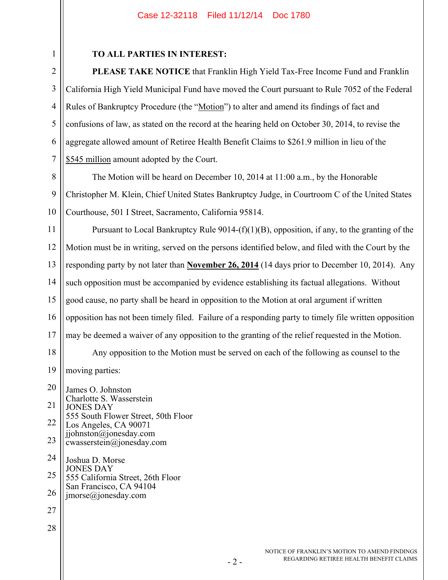## Case 12-32118 Filed 11/12/14 Doc 1780

| f |  |
|---|--|
| í |  |

3

4

5

6

7

## **TO ALL PARTIES IN INTEREST:**

**PLEASE TAKE NOTICE** that Franklin High Yield Tax-Free Income Fund and Franklin California High Yield Municipal Fund have moved the Court pursuant to Rule 7052 of the Federal Rules of Bankruptcy Procedure (the "Motion") to alter and amend its findings of fact and confusions of law, as stated on the record at the hearing held on October 30, 2014, to revise the aggregate allowed amount of Retiree Health Benefit Claims to \$261.9 million in lieu of the \$545 million amount adopted by the Court.

8 9 10 The Motion will be heard on December 10, 2014 at 11:00 a.m., by the Honorable Christopher M. Klein, Chief United States Bankruptcy Judge, in Courtroom C of the United States Courthouse, 501 I Street, Sacramento, California 95814.

11 12 13 14 15 16 17 18 19 Pursuant to Local Bankruptcy Rule  $9014-(f)(1)(B)$ , opposition, if any, to the granting of the Motion must be in writing, served on the persons identified below, and filed with the Court by the responding party by not later than **November 26, 2014** (14 days prior to December 10, 2014). Any such opposition must be accompanied by evidence establishing its factual allegations. Without good cause, no party shall be heard in opposition to the Motion at oral argument if written opposition has not been timely filed. Failure of a responding party to timely file written opposition may be deemed a waiver of any opposition to the granting of the relief requested in the Motion. Any opposition to the Motion must be served on each of the following as counsel to the moving parties:

20 21 22 23 24 25 26 27 James O. Johnston Charlotte S. Wasserstein JONES DAY 555 South Flower Street, 50th Floor Los Angeles, CA 90071 jjohnston@jonesday.com cwasserstein@jonesday.com Joshua D. Morse JONES DAY 555 California Street, 26th Floor San Francisco, CA 94104 jmorse@jonesday.com